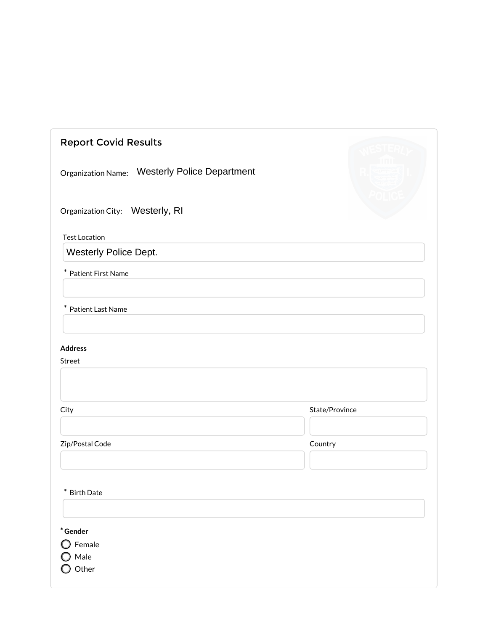| <b>Report Covid Results</b>                             |                |
|---------------------------------------------------------|----------------|
| <b>Westerly Police Department</b><br>Organization Name: |                |
| Organization City: Westerly, RI                         |                |
| <b>Test Location</b><br>Westerly Police Dept.           |                |
| $\ast$<br>Patient First Name                            |                |
| Patient Last Name<br>$\ast$                             |                |
| <b>Address</b><br>Street                                |                |
| City                                                    | State/Province |
| Zip/Postal Code                                         | Country        |
| $\ast$<br><b>Birth Date</b>                             |                |
| $*$ Gender<br>$\bigcirc$ Female<br>Male<br>Other        |                |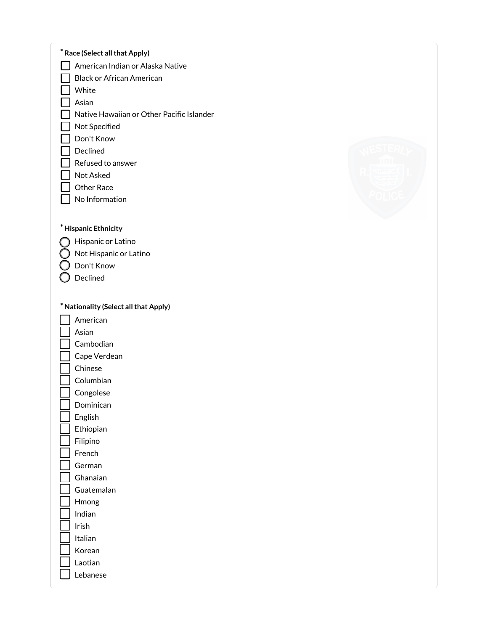| * Race (Select all that Apply)<br>American Indian or Alaska Native<br><b>Black or African American</b><br>White<br>Asian<br>Native Hawaiian or Other Pacific Islander<br>Not Specified<br>Don't Know<br>Declined<br>Refused to answer          |  |
|------------------------------------------------------------------------------------------------------------------------------------------------------------------------------------------------------------------------------------------------|--|
| Not Asked<br>Other Race<br>No Information                                                                                                                                                                                                      |  |
| * Hispanic Ethnicity<br>Hispanic or Latino<br>Not Hispanic or Latino<br>Don't Know<br>Declined                                                                                                                                                 |  |
| * Nationality (Select all that Apply)<br>American<br>Asian<br>Cambodian<br>Cape Verdean<br>Chinese<br>Columbian<br>Congolese<br>Dominican<br>English<br>Ethiopian<br>Filipino<br>French<br>German<br>Ghanaian<br>Guatemalan<br>Hmong<br>Indian |  |
| Irish<br>Italian<br>Korean<br>Laotian<br>Lebanese                                                                                                                                                                                              |  |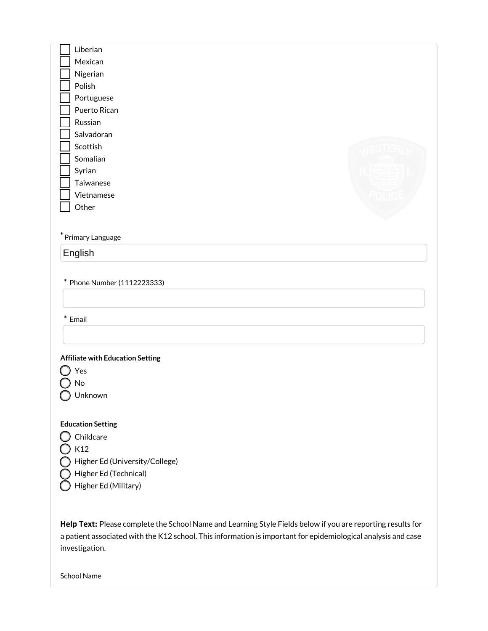| Liberian     |  |
|--------------|--|
| Mexican      |  |
| Nigerian     |  |
| Polish       |  |
| Portuguese   |  |
| Puerto Rican |  |
| Russian      |  |
| Salvadoran   |  |
| Scottish     |  |
| Somalian     |  |
| Syrian       |  |
| Taiwanese    |  |
| Vietnamese   |  |
| Other        |  |
|              |  |
|              |  |

\* Primary Language

English

\* Phone Number (1112223333)

 $*$  Email

### Affiliate with Education Setting

Yes  $\bigcirc$  No ◯ Unknown

### Education Setting

 $\bigcirc$  Childcare  $\bigcirc$  K12 Higher Ed (University/College)

Higher Ed (Technical)

Higher Ed (Military)

Help Text: Please complete the School Name and Learning Style Fields below if you are reporting results for a patient associated with the K12 school. This information is important for epidemiological analysis and case investigation.

School Name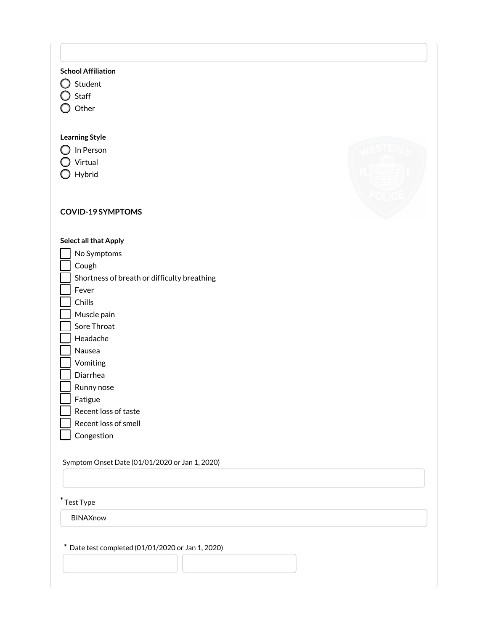## School Affiliation

- $\bigcirc$  Student
- O Staff
- O Other

## Learning Style

- O In Person
- O Virtual
- O Hybrid

# COVID-19 SYMPTOMS

### Select all that Apply

- No Symptoms Cough Shortness of breath or difficulty breathing Fever Chills Muscle pain Sore Throat Headache Nausea Vomiting
- Diarrhea
- Runny nose

Fatigue

- Recent loss of taste
- Recent loss of smell
- Congestion

Symptom Onset Date (01/01/2020 or Jan 1, 2020)

# \* Test Type

BINAXnow

\* Date test completed (01/01/2020 or Jan 1, 2020)